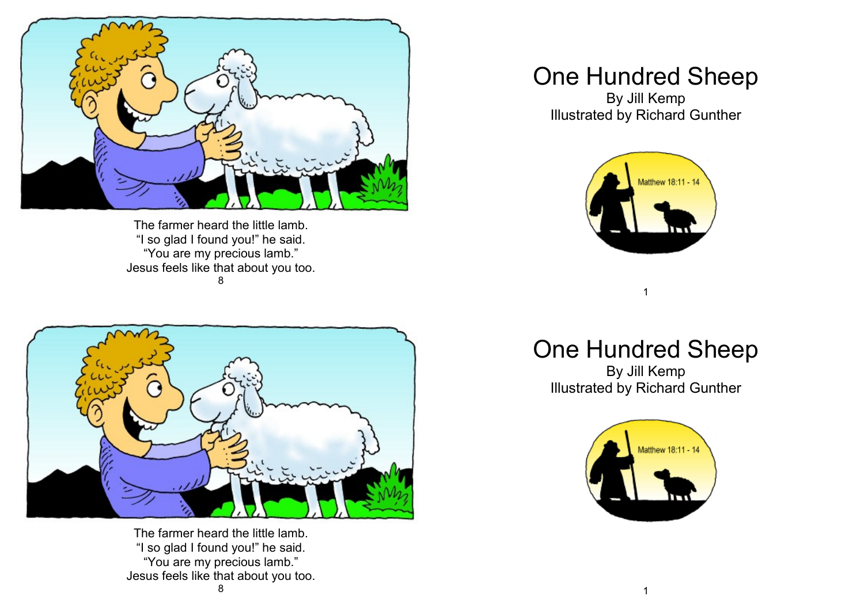

The farmer heard the little lamb. "I so glad I found you!" he said. "You are my precious lamb." Jesus feels like that about you too. 8



The farmer heard the little lamb. "I so glad I found you!" he said. "You are my precious lamb." Jesus feels like that about you too. 8

## One Hundred Sheep

By Jill Kemp Illustrated by Richard Gunther



## One Hundred Sheep

1

By Jill Kemp Illustrated by Richard Gunther

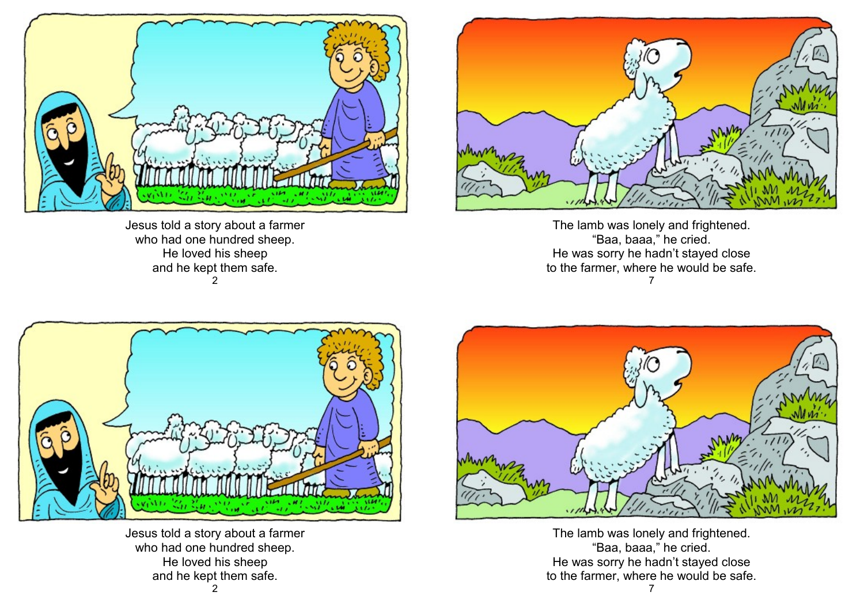

Jesus told a story about a farmer who had one hundred sheep. He loved his sheep and he kept them safe.  $\mathcal{D}$ 



The lamb was lonely and frightened. "Baa, baaa," he cried. He was sorry he hadn't stayed close to the farmer, where he would be safe. 7



Jesus told a story about a farmer who had one hundred sheep. He loved his sheep and he kept them safe.



The lamb was lonely and frightened. "Baa, baaa," he cried. He was sorry he hadn't stayed close to the farmer, where he would be safe.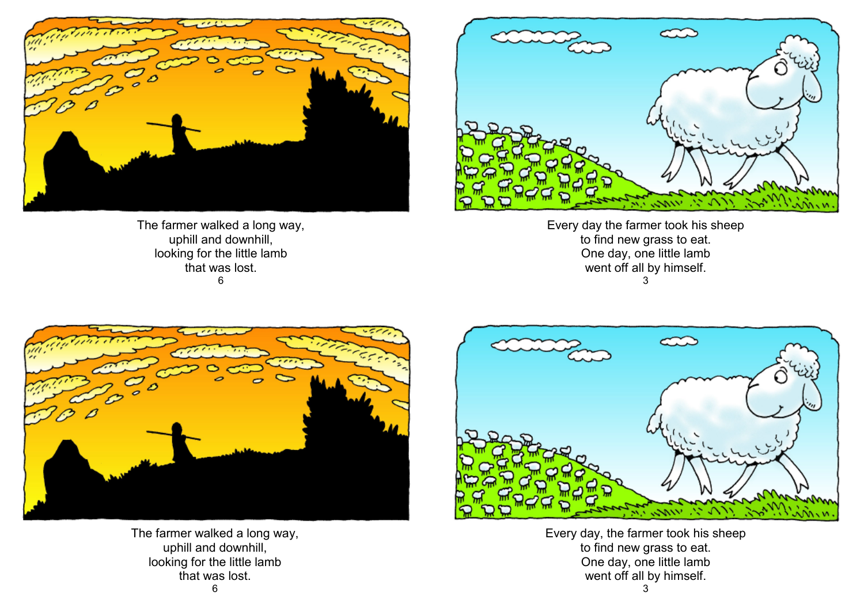

The farmer walked a long way, uphill and downhill, looking for the little lamb that was lost. 6



Every day the farmer took his sheep to find new grass to eat. One day, one little lamb went off all by himself. 3



The farmer walked a long way, uphill and downhill, looking for the little lamb that was lost.



Every day, the farmer took his sheep to find new grass to eat. One day, one little lamb went off all by himself.